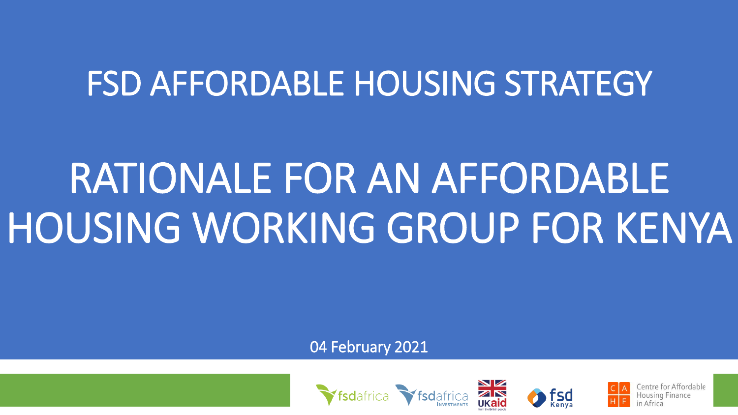## FSD AFFORDABLE HOUSING STRATEGY

# RATIONALE FOR AN AFFORDABLE HOUSING WORKING GROUP FOR KENYA

04 February 2021





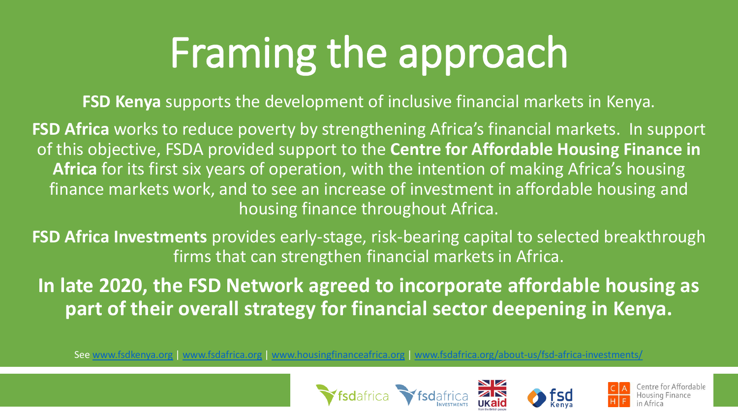# Framing the approach

**FSD Kenya** supports the development of inclusive financial markets in Kenya.

**FSD Africa** works to reduce poverty by strengthening Africa's financial markets. In support of this objective, FSDA provided support to the **Centre for Affordable Housing Finance in Africa** for its first six years of operation, with the intention of making Africa's housing finance markets work, and to see an increase of investment in affordable housing and housing finance throughout Africa.

**FSD Africa Investments** provides early-stage, risk-bearing capital to selected breakthrough firms that can strengthen financial markets in Africa.

**In late 2020, the FSD Network agreed to incorporate affordable housing as part of their overall strategy for financial sector deepening in Kenya.** 

See [www.fsdkenya.org](http://www.fsdkenya.org/) | [www.fsdafrica.org](http://www.fsdafrica.org/) | [www.housingfinanceafrica.org](http://www.housingfinanceafrica.org/) | [www.fsdafrica.org/about-us/fsd-africa-investments/](http://www.fsdafrica.org/about-us/fsd-africa-investments/)









entre for Affordable ousing Finance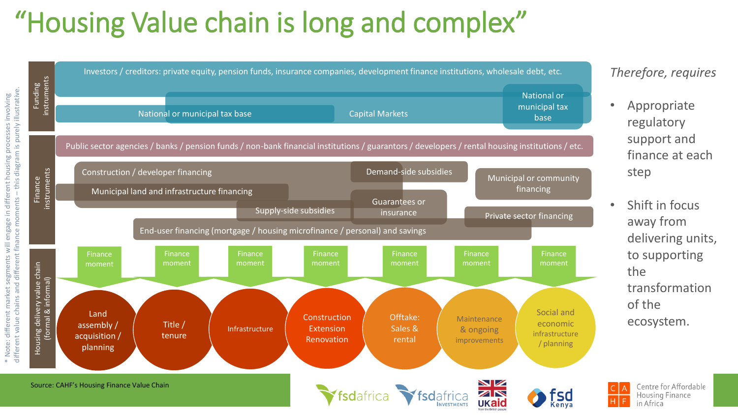## "Housing Value chain is long and complex"

\* Note: different market segments will engage in different housing processes involving



*Therefore, requires*

- Appropriate regulatory support and finance at each step
- Shift in focus away from delivering units, to supporting the transformation of the ecosystem.

Centre for Affordable

**Housing Finance** in Africa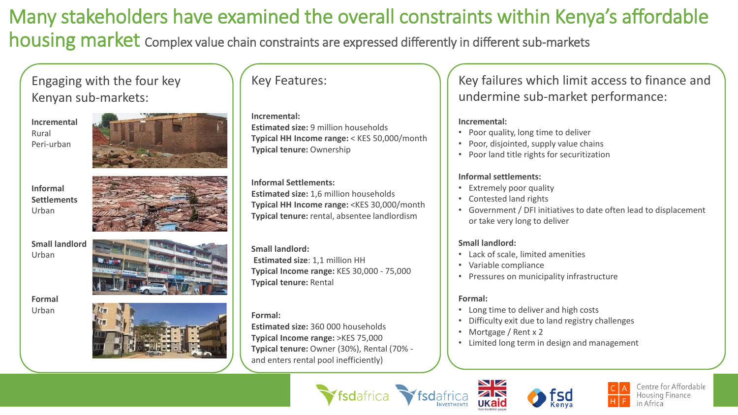## Many stakeholders have examined the overall constraints within Kenya's affordable

housing market Complex value chain constraints are expressed differently in different sub-markets

### Engaging with the four key Kenyan sub-markets:

**Incremental** Rural Peri-urban



**Informal Settlements** Urban



**Small landlord** Urban



**Formal** Urban



Key Features:

**Incremental:** 

**Estimated size:** 9 million households **Typical HH Income range:** < KES 50,000/month **Typical tenure:** Ownership

**Informal Settlements: Estimated size:** 1,6 million households **Typical HH Income range:** <KES 30,000/month **Typical tenure:** rental, absentee landlordism

**Small landlord: Estimated size**: 1,1 million HH **Typical Income range:** KES 30,000 - 75,000 **Typical tenure:** Rental

#### **Formal:**

**Estimated size:** 360 000 households **Typical Income range:** >KES 75,000 **Typical tenure:** Owner (30%), Rental (70% and enters rental pool inefficiently)

Key failures which limit access to finance and undermine sub-market performance:

#### **Incremental:**

- Poor quality, long time to deliver
- Poor, disjointed, supply value chains
- Poor land title rights for securitization

#### **Informal settlements:**

- Extremely poor quality
- Contested land rights
- Government / DFI initiatives to date often lead to displacement or take very long to deliver

### **Small landlord:**

- Lack of scale, limited amenities
- Variable compliance
- Pressures on municipality infrastructure

#### **Formal:**

- Long time to deliver and high costs
- Difficulty exit due to land registry challenges
- Mortgage / Rent x 2
- Limited long term in design and management







Centre for Affordable **Housing Finance** in Africa

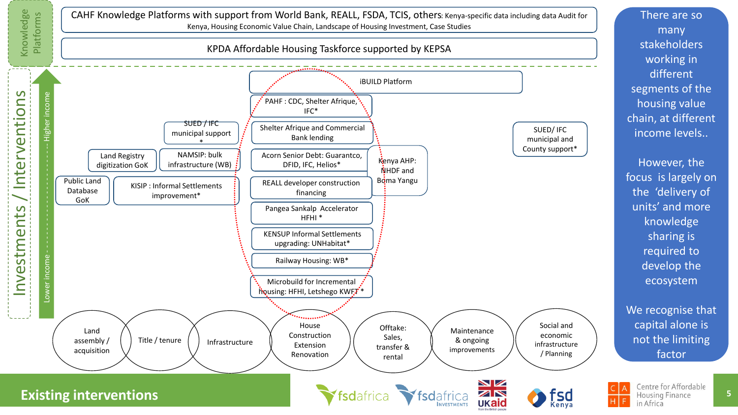

**5**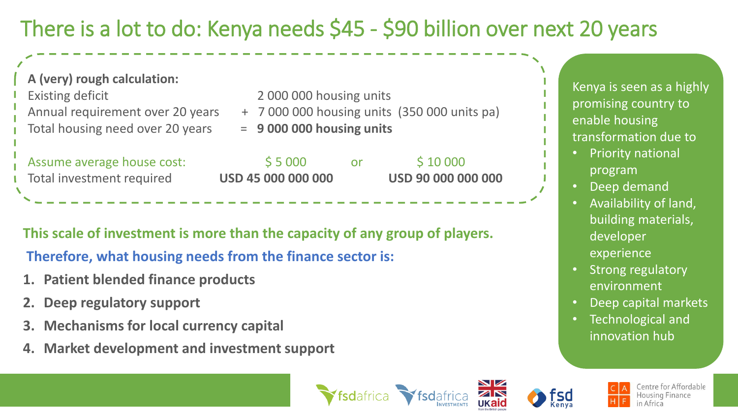### There is a lot to do: Kenya needs \$45 - \$90 billion over next 20 years

 $\blacktriangleright$ fsdafrica

| A (very) rough calculation:<br><b>Existing deficit</b><br>Annual requirement over 20 years<br>Total housing need over 20 years | 2000 000 housing units<br>$= 9000000$ housing units |    | + 7 000 000 housing units (350 000 units pa) |
|--------------------------------------------------------------------------------------------------------------------------------|-----------------------------------------------------|----|----------------------------------------------|
| Assume average house cost:<br>Total investment required                                                                        | \$5000<br><b>USD 45 000 000 000</b>                 | or | \$10000<br>USD 90 000 000 000                |

### **This scale of investment is more than the capacity of any group of players.**

**Therefore, what housing needs from the finance sector is:**

- **1. Patient blended finance products**
- **2. Deep regulatory support**
- **3. Mechanisms for local currency capital**
- **4. Market development and investment support**

Kenya is seen as a highly promising country to enable housing transformation due to

- Priority national program
- Deep demand
- Availability of land, building materials, developer experience
- Strong regulatory environment
- Deep capital markets
- Technological and innovation hub





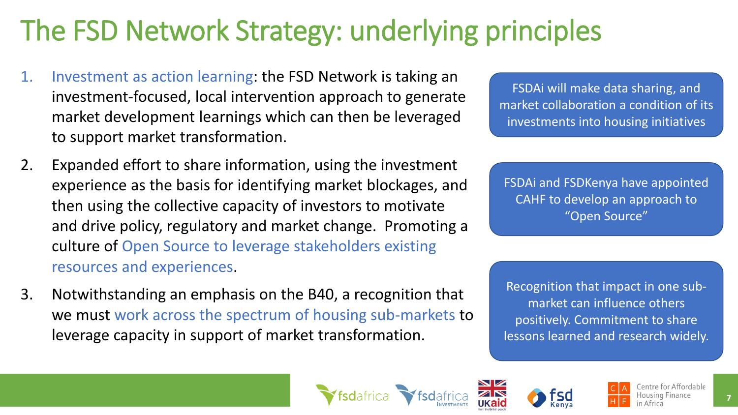## The FSD Network Strategy: underlying principles

- 1. Investment as action learning: the FSD Network is taking an investment-focused, local intervention approach to generate market development learnings which can then be leveraged to support market transformation.
- 2. Expanded effort to share information, using the investment experience as the basis for identifying market blockages, and then using the collective capacity of investors to motivate and drive policy, regulatory and market change. Promoting a culture of Open Source to leverage stakeholders existing resources and experiences.
- 3. Notwithstanding an emphasis on the B40, a recognition that we must work across the spectrum of housing sub-markets to leverage capacity in support of market transformation.

FSDAi will make data sharing, and market collaboration a condition of its investments into housing initiatives

FSDAi and FSDKenya have appointed CAHF to develop an approach to "Open Source"

Recognition that impact in one submarket can influence others positively. Commitment to share lessons learned and research widely.







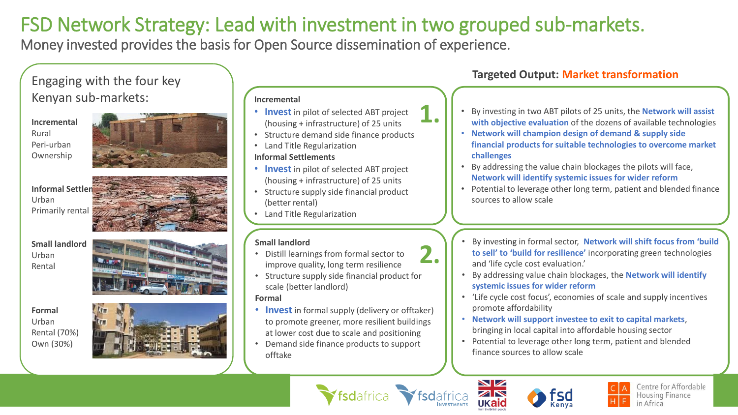### FSD Network Strategy: Lead with investment in two grouped sub-markets.

Money invested provides the basis for Open Source dissemination of experience.

#### Engaging with the four key Kenyan sub-markets: **Incremental** Rural Peri-urban Ownership **Informal Settlen** Urban Primarily rental **Small landlord** Urban Rental **Formal** Urban Rental (70%) Own (30%) **Incremental** • **Invest** in pilot of selected ABT project (housing + infrastructure) of 25 units • Structure demand side finance products • Land Title Regularization **Informal Settlements** • **Invest** in pilot of selected ABT project (housing + infrastructure) of 25 units • Structure supply side financial product (better rental) • Land Title Regularization **Small landlord** • Distill learnings from formal sector to improve quality, long term resilience • Structure supply side financial product for scale (better landlord) **Formal** • **Invest** in formal supply (delivery or offtaker) to promote greener, more resilient buildings at lower cost due to scale and positioning • By investing in two ABT pilots of 25 units, the **Network will assist with objective evaluation** of the dozens of available technologies • **Network will champion design of demand & supply side financial products for suitable technologies to overcome market challenges** • By addressing the value chain blockages the pilots will face, **Network will identify systemic issues for wider reform** • Potential to leverage other long term, patient and blended finance sources to allow scale • By investing in formal sector, **Network will shift focus from 'build to sell' to 'build for resilience'** incorporating green technologies and 'life cycle cost evaluation.' • By addressing value chain blockages, the **Network will identify systemic issues for wider reform** • 'Life cycle cost focus', economies of scale and supply incentives promote affordability • **Network will support investee to exit to capital markets**, bringing in local capital into affordable housing sector • Potential to leverage other long term, patient and blended **Targeted Output: Market transformation 1. 2.**

• Demand side finance products to support offtake





finance sources to allow scale



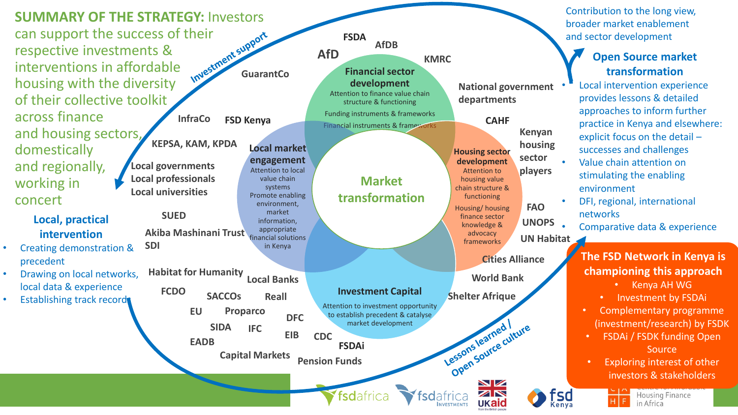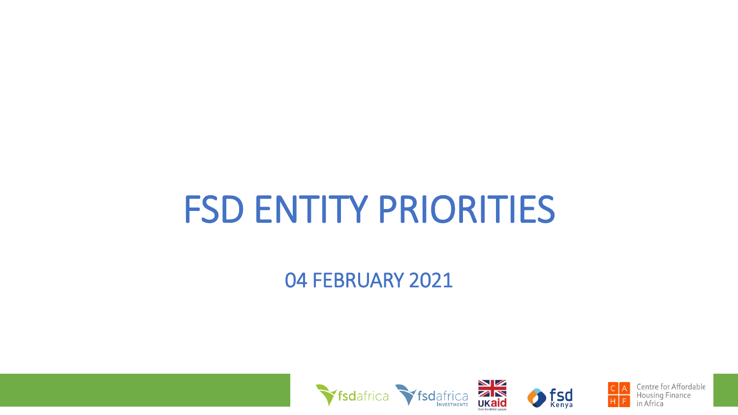# FSD ENTITY PRIORITIES

04 FEBRUARY 2021









Centre for Affordable **Housing Finance** in Africa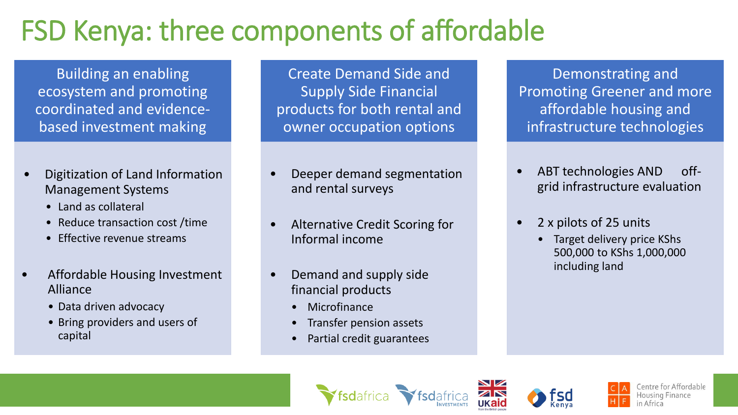## FSD Kenya: three components of affordable

Building an enabling ecosystem and promoting coordinated and evidencebased investment making

- Digitization of Land Information Management Systems
	- Land as collateral
	- Reduce transaction cost / time
	- Effective revenue streams
- Affordable Housing Investment Alliance
	- Data driven advocacy
	- Bring providers and users of capital

Create Demand Side and Supply Side Financial products for both rental and owner occupation options

- Deeper demand segmentation and rental surveys
- Alternative Credit Scoring for Informal income
- Demand and supply side financial products
	- **Microfinance**
	- Transfer pension assets
	- Partial credit guarantees

 $\blacktriangleright$ fsdafrica

Demonstrating and Promoting Greener and more affordable housing and infrastructure technologies

- ABT technologies AND offgrid infrastructure evaluation
- 2 x pilots of 25 units
	- Target delivery price KShs 500,000 to KShs 1,000,000 including land



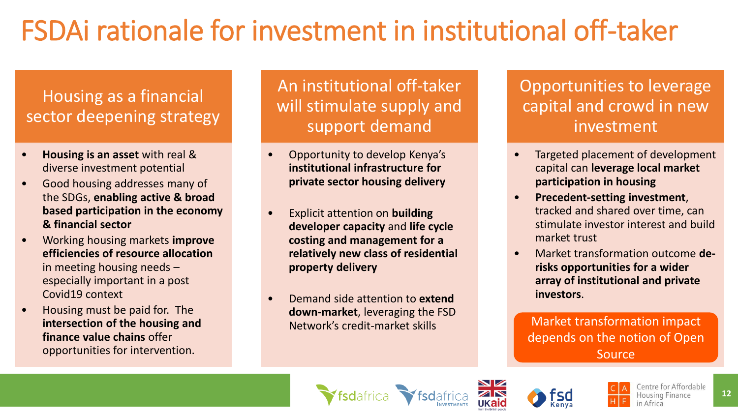## FSDAi rationale for investment in institutional off-taker

### Housing as a financial sector deepening strategy

- **Housing is an asset** with real & diverse investment potential
- Good housing addresses many of the SDGs, **enabling active & broad based participation in the economy & financial sector**
- Working housing markets **improve efficiencies of resource allocation**  in meeting housing needs – especially important in a post Covid19 context
- Housing must be paid for. The **intersection of the housing and finance value chains** offer opportunities for intervention.

An institutional off-taker will stimulate supply and support demand

- Opportunity to develop Kenya's **institutional infrastructure for private sector housing delivery**
- Explicit attention on **building developer capacity** and **life cycle costing and management for a relatively new class of residential property delivery**
- Demand side attention to **extend down-market**, leveraging the FSD Network's credit-market skills

*S* fsdafrica

Opportunities to leverage capital and crowd in new investment

- Targeted placement of development capital can **leverage local market participation in housing**
- **Precedent-setting investment**, tracked and shared over time, can stimulate investor interest and build market trust
- Market transformation outcome **derisks opportunities for a wider array of institutional and private investors**.

Market transformation impact depends on the notion of Open Source





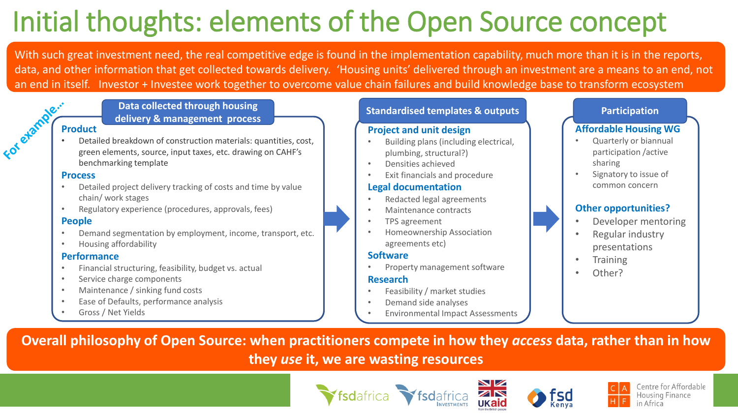## Initial thoughts: elements of the Open Source concept

With such great investment need, the real competitive edge is found in the implementation capability, much more than it is in the reports, data, and other information that get collected towards delivery. 'Housing units' delivered through an investment are a means to an end, not an end in itself. Investor + Investee work together to overcome value chain failures and build knowledge base to transform ecosystem



**Data collected through housing delivery & management process**

• Detailed breakdown of construction materials: quantities, cost, green elements, source, input taxes, etc. drawing on CAHF's benchmarking template

#### **Process**

- Detailed project delivery tracking of costs and time by value chain/ work stages
- Regulatory experience (procedures, approvals, fees)

### **People**

- Demand segmentation by employment, income, transport, etc.
- Housing affordability

#### **Performance**

- Financial structuring, feasibility, budget vs. actual
- Service charge components
- Maintenance / sinking fund costs
- Ease of Defaults, performance analysis
- Gross / Net Yields

### **Standardised templates & outputs**

### **Project and unit design**

- Building plans (including electrical, plumbing, structural?)
- Densities achieved
- Exit financials and procedure

### **Legal documentation**

- Redacted legal agreements
- Maintenance contracts
- TPS agreement
- Homeownership Association agreements etc)

### **Software**

• Property management software

### **Research**

- Feasibility / market studies
- Demand side analyses
- Environmental Impact Assessments

### **Participation**

### **Affordable Housing WG**

- Quarterly or biannual participation /active sharing
- Signatory to issue of common concern

### **Other opportunities?**

- Developer mentoring
- Regular industry presentations
- Training
- Other?

**Overall philosophy of Open Source: when practitioners compete in how they** *access* **data, rather than in how**